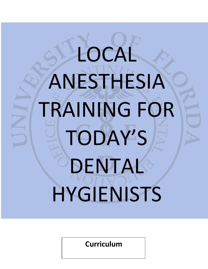# LOCAL ANESTHESIA TRAINING FOR TODAY'S DENTAL **HYGIENISTS**

**Curriculum**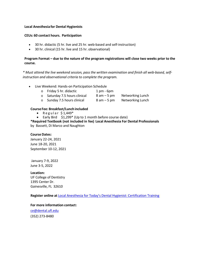#### **Local Anesthesia for Dental Hygienists**

### **CEUs: 60 contact hours. Participation**

- 30 hr. didactic (5 hr. live and 25 hr. web-based and self-instruction)
- 30 hr. clinical (15 hr. live and 15 hr. observational)

## **Program Format – due to the nature of the program registrations will close two weeks prior to the course.**

*\* Must attend the live weekend session, pass the written examination and finish all web-based, selfinstruction and observational criteria to complete the program.*

• Live Weekend: Hands-on Participation Schedule

| o Friday 5 hr. didactic           | $1$ pm - $6$ pm |                  |
|-----------------------------------|-----------------|------------------|
| o Saturday 7.5 hours clinical     | $8$ am $-5$ pm  | Networking Lunch |
| $\circ$ Sunday 7.5 hours clinical | $8$ am $-5$ pm  | Networking Lunch |

### **Course Fee: Breakfast/Lunch included**

- Regular  $$1,449*$
- Early Bird \$1,299\* (Up to 1 month before course date)

**\*Required Textbook (not included in fee) Local Anesthesia For Dental Professionals** by Bassett, Di Marco and Naughton

#### **Course Dates:**

January 22-24, 2021 June 18-20, 2021 September 10-12, 2021

January 7-9, 2022 June 3-5, 2022

**Location:**

UF College of Dentistry 1395 Center Dr. Gainesville, FL 32610

**Register online at** Local Anesthesia for Today's Dental Hygienist: [Certification](http://dental.ufl.edu/education/continuing-education/upcoming-courses/local-anesthesia) Training

#### **For more information contact:**

[ce@dental.ufl.edu](mailto:ce@dental.ufl.edu) (352) 273-8480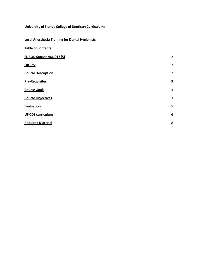# **University of Florida College of Dentistry Curriculum:**

**Local Anesthesia Training for Dental Hygienists**

| <b>Table of Contents:</b>         |                |
|-----------------------------------|----------------|
| <b>FL BOD Statute 466.017 (5)</b> | $\overline{2}$ |
| <b>Faculty</b>                    | $\overline{2}$ |
| <b>Course Description</b>         | $\overline{2}$ |
| <b>Pre-Requisites</b>             | 3              |
| <b>Course Goals</b>               | 3              |
| <b>Course Objectives</b>          | 3              |
| Evaluation                        | 5              |
| <b>UF CDE curriculum</b>          | 6              |
| <b>Required Material</b>          | 8              |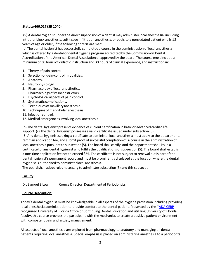#### **Statute 466.017 (SB 1040)**

(5) A dental hygienist under the direct supervision of a dentist may administer local anesthesia, including intraoral block anesthesia, soft tissue infiltration anesthesia, or both, to a nonsedated patient who is 18 years of age or older, if the following criteria are met:

(a) The dental hygienist has successfully completed a course in the administration of local anesthesia which is offered by a dental or dental hygiene programaccredited by the Commissionon Dental Accreditation of the American Dental Association or approved by the board. The course must include a minimumof 30 hours of didactic instruction and 30 hours of clinical experience, and instruction in:

- 1. Theory of pain control
- 2. Selection-of-pain-control modalities.
- 3. Anatomy.
- 4. Neurophysiology.
- 5. Pharmacology of local anesthetics.
- 6. Pharmacologyof vasoconstrictors.
- 7. Psychological aspects of pain control.
- 8. Systematic complications.
- 9. Techniques of maxillary anesthesia.
- 10. Techniques of mandibular anesthesia.
- 11. Infection control.
- 12. Medical emergenciesinvolving local anesthesia

(b) The dental hygienist presents evidence of current certification in basic or advanced cardiac life support. (c) The dental hygienist possesses a valid certificate issued under subsection (6). (6) Any dental hygienist seeking a certificate to administer local anesthesia must apply to the department, remit an application fee, and submit proof of successful completion of a course in the administration of local anesthesia pursuant to subsection (5). The board shall certify, and the department shall issue a certificate to, any dental hygienist who fulfills the qualifications of subsection (5). The board shall establish a one-time application fee not to exceed \$35. The certificate is not subject to renewal but is part of the dental hygienist's permanent record and must be prominently displayed at the location where the dental hygienist is authorized to administerlocal anesthesia.

The board shall adopt rules necessary to administer subsection (5) and this subsection.

#### <span id="page-3-0"></span>**Faculty**

Dr. Samuel B Low Course Director, Department of Periodontics

#### <span id="page-3-1"></span>**Course Description:**

Today's dental hygienist must be knowledgeable in all aspects of the hygiene profession including providing local anesthesia administration to provide comfort to the dental patient. Presented by the [\\*ADA CERP](http://www.ada.org/375.aspx) recognized University of Florida Office of Continuing Dental Education and utilizing University of Florida faculty, this course provides the participant with the mechanics to create a positive patient environment with competent pain and anxiety management.

All aspects of local anesthesia are explored from pharmacology to anatomy and managing all dental patients requiring local anesthesia. Special emphasis is placed on administering anesthesia to a periodontal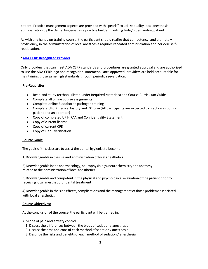patient. Practice management aspects are provided with "pearls" to utilize quality local anesthesia administration by the dental hygienist as a practice builder involving today's demanding patient.

As with any hands-on training course, the participant should realize that competency, and ultimately proficiency, in the administration of local anesthesia requires repeated administration and periodic selfreeducation.

### **\*ADA CERP [Recognized Provider](http://www.ada.org/375.aspx)**

Only providers that can meet ADA CERP standards and procedures are granted approval and are authorized to use the ADA CERP logo and recognition statement. Once approved, providers are held accountable for maintaining those same high standards through periodic reevaluation.

#### <span id="page-4-0"></span>**Pre-Requisites:**

- Read and study textbook (listed under Required Materials) and Course Curriculum Guide
- Complete all online course assignments
- Complete online Bloodborne pathogen training
- Complete UFCD medical history and RX form (All participants are expected to practice as both a patient and an operator)
- Copy of completed UF HIPAA and Confidentiality Statement
- Copy of current license
- Copy of current CPR
- Copy of HepB verification

#### <span id="page-4-1"></span>**Course Goals:**

The goals of this class are to assist the dental hygienist to become:

1) Knowledgeable in the use and administration of local anesthetics

2) Knowledgeable in the pharmacology, neurophysiology, neurochemistry and anatomy related to the administration of local anesthetics

3) Knowledgeable and competentin the physical and psychological evaluation of the patient priorto receiving local anesthetic or dental treatment

4) Knowledgeable in the side effects, complications and the management ofthose problems associated with local anesthetics

#### <span id="page-4-2"></span>**Course Objectives:**

At the conclusion of the course, the participant will be trained in:

A. Scope of pain and anxiety control

- 1. Discuss the differences between the types of sedation / anesthesia
- 2. Discuss the pros and cons of each method of sedation / anesthesia
- 3. Describe the risks and benefits of each method of sedation / anesthesia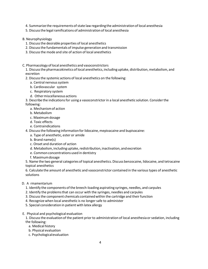- 4. Summarize the requirements of state law regarding the administration of local anesthesia
- 5. Discuss the legal ramifications of administration of local anesthesia
- B. Neurophysiology
	- 1. Discussthe desirable properties of local anesthetics
	- 2. Discussthe fundamentals of impulse generation and transmission
	- 3. Discussthe mode and site of action of local anesthetics
- C. Pharmacology oflocal anesthetics and vasoconstrictors
	- 1. Discuss the pharmacokinetics of local anesthetics, including uptake, distribution, metabolism, and excretion
	- 2. Discussthe systemic actions of local anesthetics on the following:
		- a. Central nervous system
		- b. Cardiovascular system
		- c. Respiratory system
		- d. Othermiscellaneous actions

3. Describe the indicationsfor using a vasoconstrictorin a local anesthetic solution. Considerthe following:

- a. Mechanismof action
- b. Metabolism
- c. Maximumdosage
- d. Toxic effects
- e. Contraindications
- 4. Discuss the following information for lidocaine, mepivacaine and bupivacaine:
	- a. Type of anesthetic, ester or amide
	- b. Brand name(s)
	- c. Onset and duration of action
	- d. Metabolism,includinguptake,redistribution,inactivation, andexcretion
	- e. Common concentrations used in dentistry
	- f. Maximumdosage

5. Name the two general categories of topical anesthetics.Discuss benzocaine, lidocaine, and tetracaine topical anesthetics

6. Calculate the amount of anesthetic and vasoconstrictor contained in the varioustypes of anesthetic solutions

- D. A rmamentarium
	- 1. Identify the components ofthe breech-loading aspirating syringes, needles, and carpules
	- 2. Identify the problems that can occur with the syringes, needles and carpules
	- 3. Discussthe component chemicals containedwithin the cartridge and their function
	- 4. Recognize when local anesthetic is no longer safe to administer
	- 5. Special consideration in patient with latex allergy
- E. Physical and psychological evaluation

1. Discuss the evaluation of the patient prior to administration of local anesthesia or sedation, including the following:

- a. Medical history
- b. Physical evaluation
- c. Psychologicalevaluation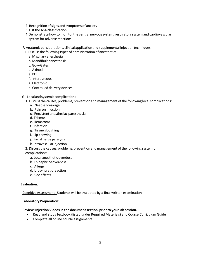- 2. Recognitionof signs and symptoms of anxiety
- 3. List the ASA classification
- 4. Demonstrate how to monitor the central nervous system, respiratory system and cardiovascular system for adverse reactions
- F. Anatomic considerations, clinical applicationand supplemental injectiontechniques
	- 1. Discussthe following types of administration of anesthetic:
		- a. Maxillary anesthesia
		- b. Mandibular anesthesia
		- c. Gow-Gates
		- d. Akinosi
		- e. PDL
		- f. Interosseous
		- g. Electronic
		- h. Controlled delivery devices
- G. Localandsystemiccomplications
	- 1. Discussthe causes, problems, prevention and management of the following local complications:
		- a. Needle breakage
		- b. Pain on injection
		- c. Persistent anesthesia: paresthesia
		- d. Trismus
		- e. Hematoma
		- f. Infection
		- g. Tissue sloughing
		- i. Lip chewing
		- j. Facial nerve paralysis
		- k. Intravascularinjection
	- 2. Discussthe causes, problems, preventionand management of the following systemic complications:
		- a. Local anesthetic overdose
		- b. Epinephrineoverdose
		- c. Allergy
		- d. Idiosyncraticreaction
		- e. Side effects

#### <span id="page-6-0"></span>**Evaluation:**

CognitiveAssessment: Students will be evaluated by a final written examination

#### **LaboratoryPreparation:**

#### **Review: Injection Videosin the documentsection, prior to your lab session.**

- Read and study textbook (listed under Required Materials) and Course Curriculum Guide
- Complete all online course assignments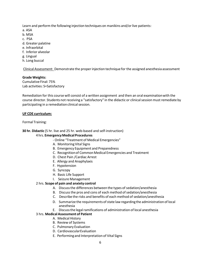Learn and perform the following injection techniques on manikins and/or live patients:

a. ASA

- b. MSA
- c. PSA
- d. Greater palatine
- e. Infraorbital
- f. Inferior alveolar
- g. Lingual
- h. Long buccal

Clinical Assessment: Demonstrate the properinjection technique for the assigned anesthesia assessment

## **Grade Weights:**

Cumulative Final: 75% Lab activities: S=Satisfactory

Remediation for this course will consist of a written assignment and then an oral examinationwith the course director. Students not receiving a "satisfactory" in the didactic or clinicalsessionmust remediate by participating in a remediation clinical session.

## <span id="page-7-0"></span>**UF CDE curriculum:**

## Formal Training:

## **30 hr. Didactic** (5 hr. live and 25 hr. web-based and self-instruction)

## 4 hrs. **EmergencyMedicalProcedures**

- Online "Treatment of Medical Emergencies"
- A. Monitoring Vital Signs
- B. Emergency Equipment and Preparedness
- C. Recognition of Common Medical Emergencies and Treatment
- D. Chest Pain /Cardiac Arrest
- E. Allergy and Anaphylaxis
- F. Hypotension
- G. Syncopy
- H. Basic Life Support
- I. Seizure Management

## 2 hrs. **Scope of pain and anxiety control**

- A. Discuss the differences between the types of sedation/anesthesia
- B. Discuss the pros and cons of each method of sedation/anesthesia
- C. Describe the risks and benefits of each method of sedation/anesthesia
- D. Summarize the requirements of state law regarding the administration of local anesthesia
- E. Discuss the legal ramifications of administration of local anesthesia

## 3 hrs. **MedicalAssessment of Patient**

- A. Medical History
- B. Review of Systems
- C. Pulmonary Evaluation
- D. CardiovascularEvaluation
- E. Performingand Interpretation of Vital Signs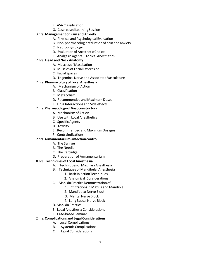- F. ASA Classification
- G. Case-based Learning Session

## 3 hrs. **Management of Pain and Anxiety**

- A. Physical and Psychological Evaluation
- B. Non-pharmacologic reduction of pain and anxiety
- C. Neurophysiology
- D. Evaluation of Anesthetic Choice
- E. Analgesic Agents Topical Anesthetics

## 2 hrs. **Head and Neck Anatomy**

- A. Muscles of Mastication
- B. Muscles of Facial Expression
- C. Facial Spaces
- D. Trigeminal Nerve and Associated Vasculature

## 2 hrs. **Pharmacology of Local Anesthesia**

- A. Mechanismof Action
- B. Classification
- C. Metabolism
- D. Recommended and Maximum Doses
- E. Drug Interactions and Side effects

## 2 hrs. **PharmacologyofVasoconstrictors**

- A. Mechanismof Action
- B. Use with Local Anesthetics
- C. Specific Agents
- D. Toxicity
- E. Recommended and Maximum Dosages
- F. Contraindications

## 2 hrs.**Armamentarium–infectioncontrol**

- A. The Syringe
- B. The Needle
- C. The Cartridge
- D. Preparation of Armamentarium

## 8 hrs. **Techniques of Local Anesthesia**

- A. Techniques of Maxillary Anesthesia
- B. Techniques of Mandibular Anesthesia
	- 1. BasicInjectionTechniques
	- 2. Anatomical Considerations
- C. Manikin Practice Demonstration of:
	- 1. Infiltrationsin Maxilla and Mandible
	- 2. Mandibular Nerve Block
	- 3. Mental Nerve Block
	- 4. Long Buccal Nerve Block
- D. Manikin Practical
- E. Local Anesthesia Considerations
- F. Case-based Seminar

## 2 hrs. **Complications and Legal Considerations**

- A. Local Complications
- B. Systemic Complications
- C. Legal Considerations